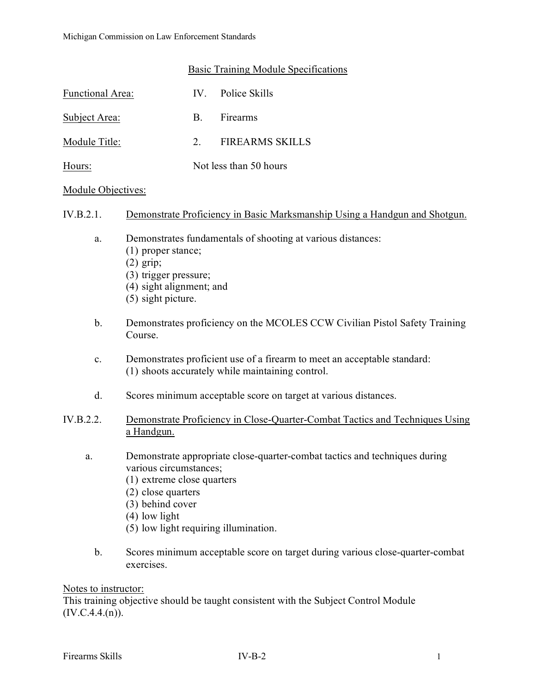### Basic Training Module Specifications

| Functional Area: |                        | IV. Police Skills |
|------------------|------------------------|-------------------|
| Subject Area:    | <b>B.</b>              | Firearms          |
| Module Title:    | $\mathcal{P}$          | FIREARMS SKILLS   |
| Hours:           | Not less than 50 hours |                   |

#### Module Objectives:

## IV.B.2.1. Demonstrate Proficiency in Basic Marksmanship Using a Handgun and Shotgun.

- a. Demonstrates fundamentals of shooting at various distances:
	- (1) proper stance;
	- (2) grip;
	- (3) trigger pressure;
	- (4) sight alignment; and
	- (5) sight picture.
- b. Demonstrates proficiency on the MCOLES CCW Civilian Pistol Safety Training Course.
- c. Demonstrates proficient use of a firearm to meet an acceptable standard: (1) shoots accurately while maintaining control.
- d. Scores minimum acceptable score on target at various distances.

## IV.B.2.2. Demonstrate Proficiency in Close-Quarter-Combat Tactics and Techniques Using a Handgun.

- a. Demonstrate appropriate close-quarter-combat tactics and techniques during various circumstances;
	- (1) extreme close quarters
	- (2) close quarters
	- (3) behind cover
	- (4) low light
	- (5) low light requiring illumination.
	- b. Scores minimum acceptable score on target during various close-quarter-combat exercises.

#### Notes to instructor:

This training objective should be taught consistent with the Subject Control Module  $(IV.C.4.4.(n)).$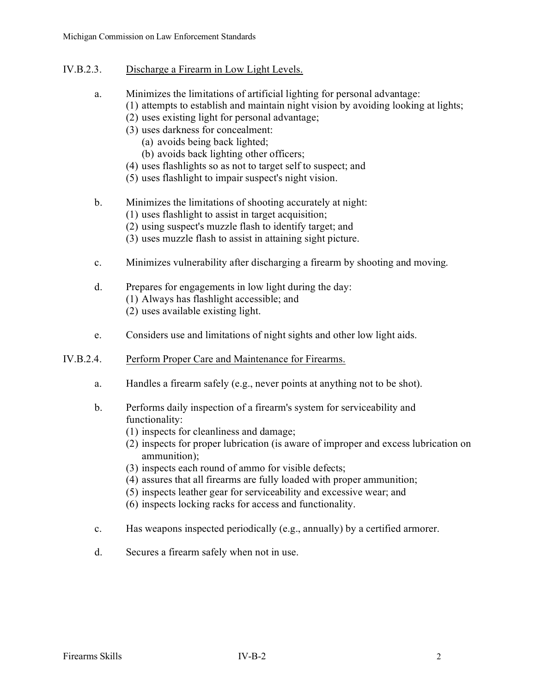- IV.B.2.3. Discharge a Firearm in Low Light Levels.
	- a. Minimizes the limitations of artificial lighting for personal advantage:
		- (1) attempts to establish and maintain night vision by avoiding looking at lights;
			- (2) uses existing light for personal advantage;
			- (3) uses darkness for concealment:
				- (a) avoids being back lighted;
				- (b) avoids back lighting other officers;
			- (4) uses flashlights so as not to target self to suspect; and
			- (5) uses flashlight to impair suspect's night vision.

# b. Minimizes the limitations of shooting accurately at night:

- (1) uses flashlight to assist in target acquisition;
- (2) using suspect's muzzle flash to identify target; and
- (3) uses muzzle flash to assist in attaining sight picture.
- c. Minimizes vulnerability after discharging a firearm by shooting and moving.
- d. Prepares for engagements in low light during the day: (1) Always has flashlight accessible; and
	- (2) uses available existing light.
- e. Considers use and limitations of night sights and other low light aids.
- IV.B.2.4. Perform Proper Care and Maintenance for Firearms.
	- a. Handles a firearm safely (e.g., never points at anything not to be shot).
	- b. Performs daily inspection of a firearm's system for serviceability and functionality:
		- (1) inspects for cleanliness and damage;
		- (2) inspects for proper lubrication (is aware of improper and excess lubrication on ammunition);
		- (3) inspects each round of ammo for visible defects;
		- (4) assures that all firearms are fully loaded with proper ammunition;
		- (5) inspects leather gear for serviceability and excessive wear; and
		- (6) inspects locking racks for access and functionality.
	- c. Has weapons inspected periodically (e.g., annually) by a certified armorer.
	- d. Secures a firearm safely when not in use.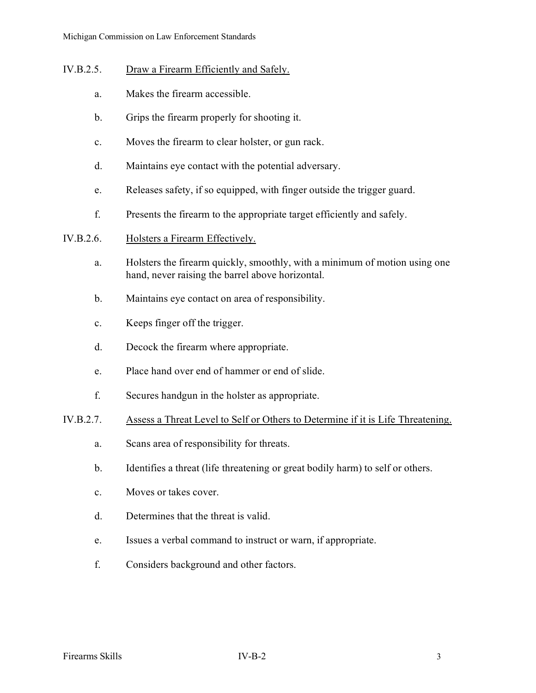- IV.B.2.5. Draw a Firearm Efficiently and Safely.
	- a. Makes the firearm accessible.
	- b. Grips the firearm properly for shooting it.
	- c. Moves the firearm to clear holster, or gun rack.
	- d. Maintains eye contact with the potential adversary.
	- e. Releases safety, if so equipped, with finger outside the trigger guard.
	- f. Presents the firearm to the appropriate target efficiently and safely.
- IV.B.2.6. Holsters a Firearm Effectively.
	- a. Holsters the firearm quickly, smoothly, with a minimum of motion using one hand, never raising the barrel above horizontal.
	- b. Maintains eye contact on area of responsibility.
	- c. Keeps finger off the trigger.
	- d. Decock the firearm where appropriate.
	- e. Place hand over end of hammer or end of slide.
	- f. Secures handgun in the holster as appropriate.
- IV.B.2.7. Assess a Threat Level to Self or Others to Determine if it is Life Threatening.
	- a. Scans area of responsibility for threats.
	- b. Identifies a threat (life threatening or great bodily harm) to self or others.
	- c. Moves or takes cover.
	- d. Determines that the threat is valid.
	- e. Issues a verbal command to instruct or warn, if appropriate.
	- f. Considers background and other factors.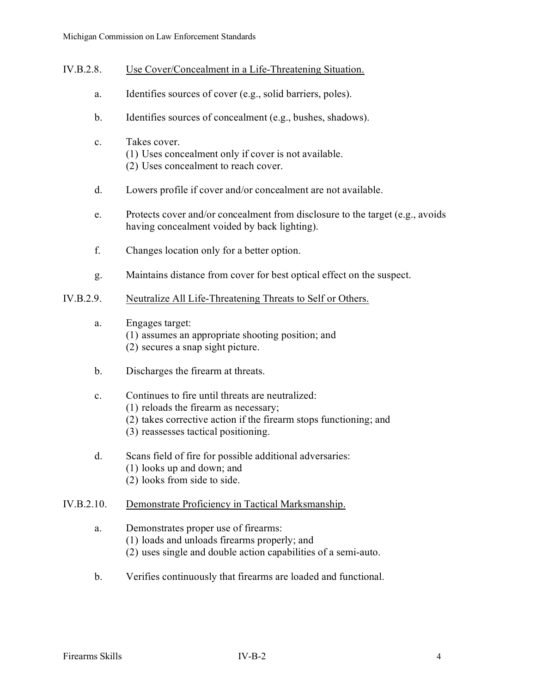- IV.B.2.8. Use Cover/Concealment in a Life-Threatening Situation.
	- a. Identifies sources of cover (e.g., solid barriers, poles).
	- b. Identifies sources of concealment (e.g., bushes, shadows).
	- c. Takes cover. (1) Uses concealment only if cover is not available. (2) Uses concealment to reach cover.
	- d. Lowers profile if cover and/or concealment are not available.
	- e. Protects cover and/or concealment from disclosure to the target (e.g., avoids having concealment voided by back lighting).
	- f. Changes location only for a better option.
	- g. Maintains distance from cover for best optical effect on the suspect.

## IV.B.2.9. Neutralize All Life-Threatening Threats to Self or Others.

- a. Engages target: (1) assumes an appropriate shooting position; and (2) secures a snap sight picture.
- b. Discharges the firearm at threats.

### c. Continues to fire until threats are neutralized:

- (1) reloads the firearm as necessary;
- (2) takes corrective action if the firearm stops functioning; and
- (3) reassesses tactical positioning.
- d. Scans field of fire for possible additional adversaries:
	- (1) looks up and down; and
	- (2) looks from side to side.

# IV.B.2.10. Demonstrate Proficiency in Tactical Marksmanship.

# a. Demonstrates proper use of firearms:

- (1) loads and unloads firearms properly; and
- (2) uses single and double action capabilities of a semi-auto.
- b. Verifies continuously that firearms are loaded and functional.